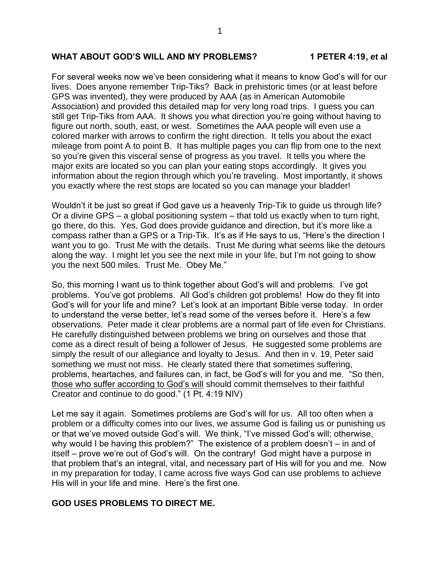## **WHAT ABOUT GOD'S WILL AND MY PROBLEMS? 1 PETER 4:19, et al**

For several weeks now we've been considering what it means to know God's will for our lives. Does anyone remember Trip-Tiks? Back in prehistoric times (or at least before GPS was invented), they were produced by AAA (as in American Automobile Association) and provided this detailed map for very long road trips. I guess you can still get Trip-Tiks from AAA. It shows you what direction you're going without having to figure out north, south, east, or west. Sometimes the AAA people will even use a colored marker with arrows to confirm the right direction. It tells you about the exact mileage from point A to point B. It has multiple pages you can flip from one to the next so you're given this visceral sense of progress as you travel. It tells you where the major exits are located so you can plan your eating stops accordingly. It gives you information about the region through which you're traveling. Most importantly, it shows you exactly where the rest stops are located so you can manage your bladder!

Wouldn't it be just so great if God gave us a heavenly Trip-Tik to guide us through life? Or a divine GPS – a global positioning system – that told us exactly when to turn right, go there, do this. Yes, God does provide guidance and direction, but it's more like a compass rather than a GPS or a Trip-Tik. It's as if He says to us, "Here's the direction I want you to go. Trust Me with the details. Trust Me during what seems like the detours along the way. I might let you see the next mile in your life, but I'm not going to show you the next 500 miles. Trust Me. Obey Me."

So, this morning I want us to think together about God's will and problems. I've got problems. You've got problems. All God's children got problems! How do they fit into God's will for your life and mine? Let's look at an important Bible verse today. In order to understand the verse better, let's read some of the verses before it. Here's a few observations. Peter made it clear problems are a normal part of life even for Christians. He carefully distinguished between problems we bring on ourselves and those that come as a direct result of being a follower of Jesus. He suggested some problems are simply the result of our allegiance and loyalty to Jesus. And then in v. 19, Peter said something we must not miss. He clearly stated there that sometimes suffering, problems, heartaches, and failures can, in fact, be God's will for you and me. "So then, those who suffer according to God's will should commit themselves to their faithful Creator and continue to do good." (1 Pt. 4:19 NIV)

Let me say it again. Sometimes problems are God's will for us. All too often when a problem or a difficulty comes into our lives, we assume God is failing us or punishing us or that we've moved outside God's will. We think, "I've missed God's will; otherwise, why would I be having this problem?" The existence of a problem doesn't – in and of itself – prove we're out of God's will. On the contrary! God might have a purpose in that problem that's an integral, vital, and necessary part of His will for you and me. Now in my preparation for today, I came across five ways God can use problems to achieve His will in your life and mine. Here's the first one.

#### **GOD USES PROBLEMS TO DIRECT ME.**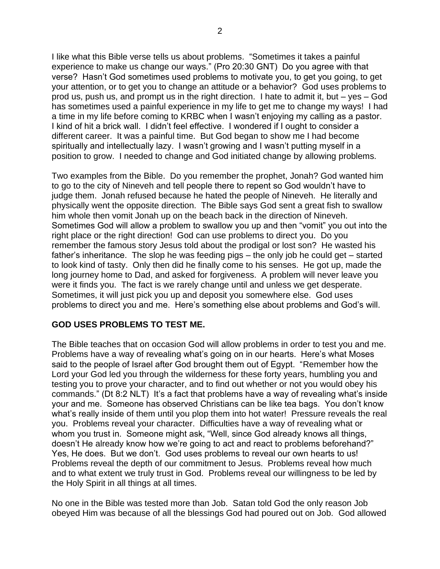I like what this Bible verse tells us about problems. "Sometimes it takes a painful experience to make us change our ways." (Pro 20:30 GNT) Do you agree with that verse? Hasn't God sometimes used problems to motivate you, to get you going, to get your attention, or to get you to change an attitude or a behavior? God uses problems to prod us, push us, and prompt us in the right direction. I hate to admit it, but – yes – God has sometimes used a painful experience in my life to get me to change my ways! I had a time in my life before coming to KRBC when I wasn't enjoying my calling as a pastor. I kind of hit a brick wall. I didn't feel effective. I wondered if I ought to consider a different career. It was a painful time. But God began to show me I had become spiritually and intellectually lazy. I wasn't growing and I wasn't putting myself in a position to grow. I needed to change and God initiated change by allowing problems.

Two examples from the Bible. Do you remember the prophet, Jonah? God wanted him to go to the city of Nineveh and tell people there to repent so God wouldn't have to judge them. Jonah refused because he hated the people of Nineveh. He literally and physically went the opposite direction. The Bible says God sent a great fish to swallow him whole then vomit Jonah up on the beach back in the direction of Nineveh. Sometimes God will allow a problem to swallow you up and then "vomit" you out into the right place or the right direction! God can use problems to direct you. Do you remember the famous story Jesus told about the prodigal or lost son? He wasted his father's inheritance. The slop he was feeding pigs – the only job he could get – started to look kind of tasty. Only then did he finally come to his senses. He got up, made the long journey home to Dad, and asked for forgiveness. A problem will never leave you were it finds you. The fact is we rarely change until and unless we get desperate. Sometimes, it will just pick you up and deposit you somewhere else. God uses problems to direct you and me. Here's something else about problems and God's will.

#### **GOD USES PROBLEMS TO TEST ME.**

The Bible teaches that on occasion God will allow problems in order to test you and me. Problems have a way of revealing what's going on in our hearts. Here's what Moses said to the people of Israel after God brought them out of Egypt. "Remember how the Lord your God led you through the wilderness for these forty years, humbling you and testing you to prove your character, and to find out whether or not you would obey his commands." (Dt 8:2 NLT) It's a fact that problems have a way of revealing what's inside your and me. Someone has observed Christians can be like tea bags. You don't know what's really inside of them until you plop them into hot water! Pressure reveals the real you. Problems reveal your character. Difficulties have a way of revealing what or whom you trust in. Someone might ask, "Well, since God already knows all things, doesn't He already know how we're going to act and react to problems beforehand?" Yes, He does. But we don't. God uses problems to reveal our own hearts to us! Problems reveal the depth of our commitment to Jesus. Problems reveal how much and to what extent we truly trust in God. Problems reveal our willingness to be led by the Holy Spirit in all things at all times.

No one in the Bible was tested more than Job. Satan told God the only reason Job obeyed Him was because of all the blessings God had poured out on Job. God allowed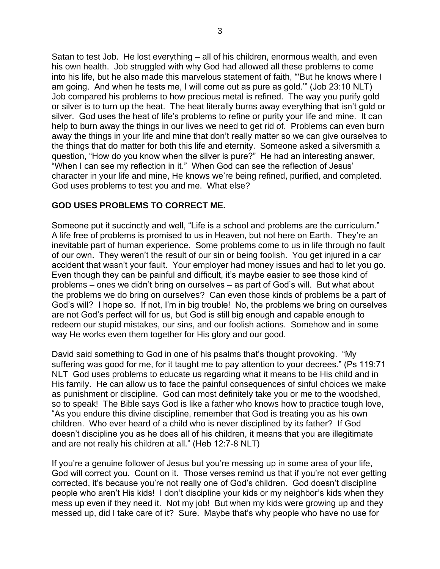Satan to test Job. He lost everything – all of his children, enormous wealth, and even his own health. Job struggled with why God had allowed all these problems to come into his life, but he also made this marvelous statement of faith, "'But he knows where I am going. And when he tests me, I will come out as pure as gold.'" (Job 23:10 NLT) Job compared his problems to how precious metal is refined. The way you purify gold or silver is to turn up the heat. The heat literally burns away everything that isn't gold or silver. God uses the heat of life's problems to refine or purity your life and mine. It can help to burn away the things in our lives we need to get rid of. Problems can even burn away the things in your life and mine that don't really matter so we can give ourselves to the things that do matter for both this life and eternity. Someone asked a silversmith a question, "How do you know when the silver is pure?" He had an interesting answer, "When I can see my reflection in it." When God can see the reflection of Jesus' character in your life and mine, He knows we're being refined, purified, and completed. God uses problems to test you and me. What else?

### **GOD USES PROBLEMS TO CORRECT ME.**

Someone put it succinctly and well, "Life is a school and problems are the curriculum." A life free of problems is promised to us in Heaven, but not here on Earth. They're an inevitable part of human experience. Some problems come to us in life through no fault of our own. They weren't the result of our sin or being foolish. You get injured in a car accident that wasn't your fault. Your employer had money issues and had to let you go. Even though they can be painful and difficult, it's maybe easier to see those kind of problems – ones we didn't bring on ourselves – as part of God's will. But what about the problems we do bring on ourselves? Can even those kinds of problems be a part of God's will? I hope so. If not, I'm in big trouble! No, the problems we bring on ourselves are not God's perfect will for us, but God is still big enough and capable enough to redeem our stupid mistakes, our sins, and our foolish actions. Somehow and in some way He works even them together for His glory and our good.

David said something to God in one of his psalms that's thought provoking. "My suffering was good for me, for it taught me to pay attention to your decrees." (Ps 119:71 NLT God uses problems to educate us regarding what it means to be His child and in His family. He can allow us to face the painful consequences of sinful choices we make as punishment or discipline. God can most definitely take you or me to the woodshed, so to speak! The Bible says God is like a father who knows how to practice tough love, "As you endure this divine discipline, remember that God is treating you as his own children. Who ever heard of a child who is never disciplined by its father? If God doesn't discipline you as he does all of his children, it means that you are illegitimate and are not really his children at all." (Heb 12:7-8 NLT)

If you're a genuine follower of Jesus but you're messing up in some area of your life, God will correct you. Count on it. Those verses remind us that if you're not ever getting corrected, it's because you're not really one of God's children. God doesn't discipline people who aren't His kids! I don't discipline your kids or my neighbor's kids when they mess up even if they need it. Not my job! But when my kids were growing up and they messed up, did I take care of it? Sure. Maybe that's why people who have no use for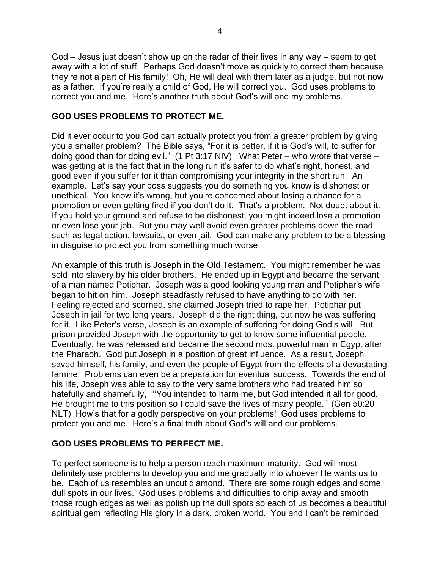God – Jesus just doesn't show up on the radar of their lives in any way – seem to get away with a lot of stuff. Perhaps God doesn't move as quickly to correct them because they're not a part of His family! Oh, He will deal with them later as a judge, but not now as a father. If you're really a child of God, He will correct you. God uses problems to correct you and me. Here's another truth about God's will and my problems.

## **GOD USES PROBLEMS TO PROTECT ME.**

Did it ever occur to you God can actually protect you from a greater problem by giving you a smaller problem? The Bible says, "For it is better, if it is God's will, to suffer for doing good than for doing evil." (1 Pt 3:17 NIV) What Peter – who wrote that verse – was getting at is the fact that in the long run it's safer to do what's right, honest, and good even if you suffer for it than compromising your integrity in the short run. An example. Let's say your boss suggests you do something you know is dishonest or unethical. You know it's wrong, but you're concerned about losing a chance for a promotion or even getting fired if you don't do it. That's a problem. Not doubt about it. If you hold your ground and refuse to be dishonest, you might indeed lose a promotion or even lose your job. But you may well avoid even greater problems down the road such as legal action, lawsuits, or even jail. God can make any problem to be a blessing in disguise to protect you from something much worse.

An example of this truth is Joseph in the Old Testament. You might remember he was sold into slavery by his older brothers. He ended up in Egypt and became the servant of a man named Potiphar. Joseph was a good looking young man and Potiphar's wife began to hit on him. Joseph steadfastly refused to have anything to do with her. Feeling rejected and scorned, she claimed Joseph tried to rape her. Potiphar put Joseph in jail for two long years. Joseph did the right thing, but now he was suffering for it. Like Peter's verse, Joseph is an example of suffering for doing God's will. But prison provided Joseph with the opportunity to get to know some influential people. Eventually, he was released and became the second most powerful man in Egypt after the Pharaoh. God put Joseph in a position of great influence. As a result, Joseph saved himself, his family, and even the people of Egypt from the effects of a devastating famine. Problems can even be a preparation for eventual success. Towards the end of his life, Joseph was able to say to the very same brothers who had treated him so hatefully and shamefully, "'You intended to harm me, but God intended it all for good. He brought me to this position so I could save the lives of many people.'" (Gen 50:20 NLT) How's that for a godly perspective on your problems! God uses problems to protect you and me. Here's a final truth about God's will and our problems.

# **GOD USES PROBLEMS TO PERFECT ME.**

To perfect someone is to help a person reach maximum maturity. God will most definitely use problems to develop you and me gradually into whoever He wants us to be. Each of us resembles an uncut diamond. There are some rough edges and some dull spots in our lives. God uses problems and difficulties to chip away and smooth those rough edges as well as polish up the dull spots so each of us becomes a beautiful spiritual gem reflecting His glory in a dark, broken world. You and I can't be reminded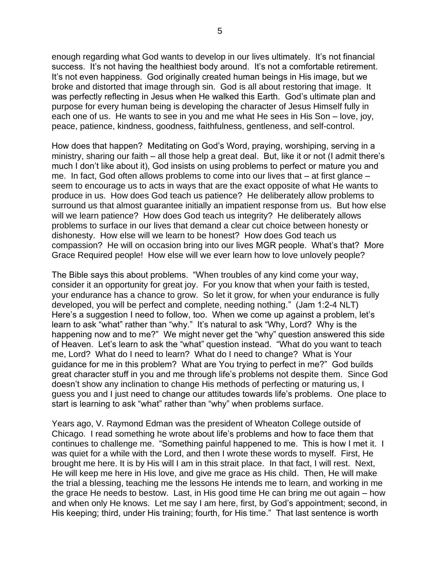enough regarding what God wants to develop in our lives ultimately. It's not financial success. It's not having the healthiest body around. It's not a comfortable retirement. It's not even happiness. God originally created human beings in His image, but we broke and distorted that image through sin. God is all about restoring that image. It was perfectly reflecting in Jesus when He walked this Earth. God's ultimate plan and purpose for every human being is developing the character of Jesus Himself fully in each one of us. He wants to see in you and me what He sees in His Son – love, joy, peace, patience, kindness, goodness, faithfulness, gentleness, and self-control.

How does that happen? Meditating on God's Word, praying, worshiping, serving in a ministry, sharing our faith – all those help a great deal. But, like it or not (I admit there's much I don't like about it), God insists on using problems to perfect or mature you and me. In fact, God often allows problems to come into our lives that – at first glance – seem to encourage us to acts in ways that are the exact opposite of what He wants to produce in us. How does God teach us patience? He deliberately allow problems to surround us that almost guarantee initially an impatient response from us. But how else will we learn patience? How does God teach us integrity? He deliberately allows problems to surface in our lives that demand a clear cut choice between honesty or dishonesty. How else will we learn to be honest? How does God teach us compassion? He will on occasion bring into our lives MGR people. What's that? More Grace Required people! How else will we ever learn how to love unlovely people?

The Bible says this about problems. "When troubles of any kind come your way, consider it an opportunity for great joy. For you know that when your faith is tested, your endurance has a chance to grow. So let it grow, for when your endurance is fully developed, you will be perfect and complete, needing nothing." (Jam 1:2-4 NLT) Here's a suggestion I need to follow, too. When we come up against a problem, let's learn to ask "what" rather than "why." It's natural to ask "Why, Lord? Why is the happening now and to me?" We might never get the "why" question answered this side of Heaven. Let's learn to ask the "what" question instead. "What do you want to teach me, Lord? What do I need to learn? What do I need to change? What is Your guidance for me in this problem? What are You trying to perfect in me?" God builds great character stuff in you and me through life's problems not despite them. Since God doesn't show any inclination to change His methods of perfecting or maturing us, I guess you and I just need to change our attitudes towards life's problems. One place to start is learning to ask "what" rather than "why" when problems surface.

Years ago, V. Raymond Edman was the president of Wheaton College outside of Chicago. I read something he wrote about life's problems and how to face them that continues to challenge me. "Something painful happened to me. This is how I met it. I was quiet for a while with the Lord, and then I wrote these words to myself. First, He brought me here. It is by His will I am in this strait place. In that fact, I will rest. Next, He will keep me here in His love, and give me grace as His child. Then, He will make the trial a blessing, teaching me the lessons He intends me to learn, and working in me the grace He needs to bestow. Last, in His good time He can bring me out again – how and when only He knows. Let me say I am here, first, by God's appointment; second, in His keeping; third, under His training; fourth, for His time." That last sentence is worth